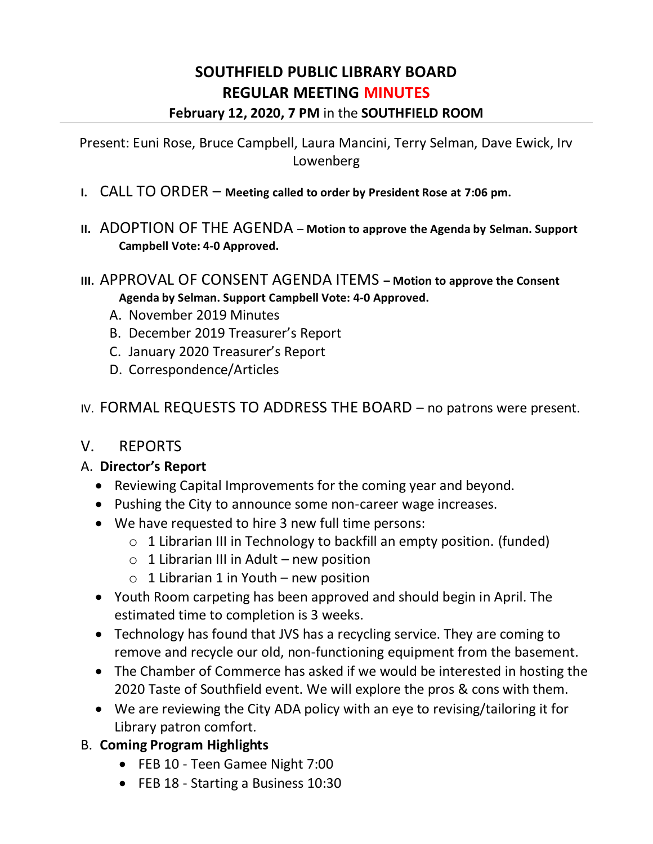# **SOUTHFIELD PUBLIC LIBRARY BOARD REGULAR MEETING MINUTES February 12, 2020, 7 PM** in the **SOUTHFIELD ROOM**

Present: Euni Rose, Bruce Campbell, Laura Mancini, Terry Selman, Dave Ewick, Irv Lowenberg

- **I.** CALL TO ORDER **Meeting called to order by President Rose at 7:06 pm.**
- **II.** ADOPTION OF THE AGENDA **Motion to approve the Agenda by Selman. Support Campbell Vote: 4-0 Approved.**
- **III.** APPROVAL OF CONSENT AGENDA ITEMS **– Motion to approve the Consent Agenda by Selman. Support Campbell Vote: 4-0 Approved.**
	- A. November 2019 Minutes
	- B. December 2019 Treasurer's Report
	- C. January 2020 Treasurer's Report
	- D. Correspondence/Articles
- IV. FORMAL REQUESTS TO ADDRESS THE BOARD no patrons were present.

### V. REPORTS

### A. **Director's Report**

- Reviewing Capital Improvements for the coming year and beyond.
- Pushing the City to announce some non-career wage increases.
- We have requested to hire 3 new full time persons:
	- o 1 Librarian III in Technology to backfill an empty position. (funded)
	- $\circ$  1 Librarian III in Adult new position
	- $\circ$  1 Librarian 1 in Youth new position
- Youth Room carpeting has been approved and should begin in April. The estimated time to completion is 3 weeks.
- Technology has found that JVS has a recycling service. They are coming to remove and recycle our old, non-functioning equipment from the basement.
- The Chamber of Commerce has asked if we would be interested in hosting the 2020 Taste of Southfield event. We will explore the pros & cons with them.
- We are reviewing the City ADA policy with an eye to revising/tailoring it for Library patron comfort.
- B. **Coming Program Highlights**
	- FEB 10 Teen Gamee Night 7:00
	- FEB 18 Starting a Business 10:30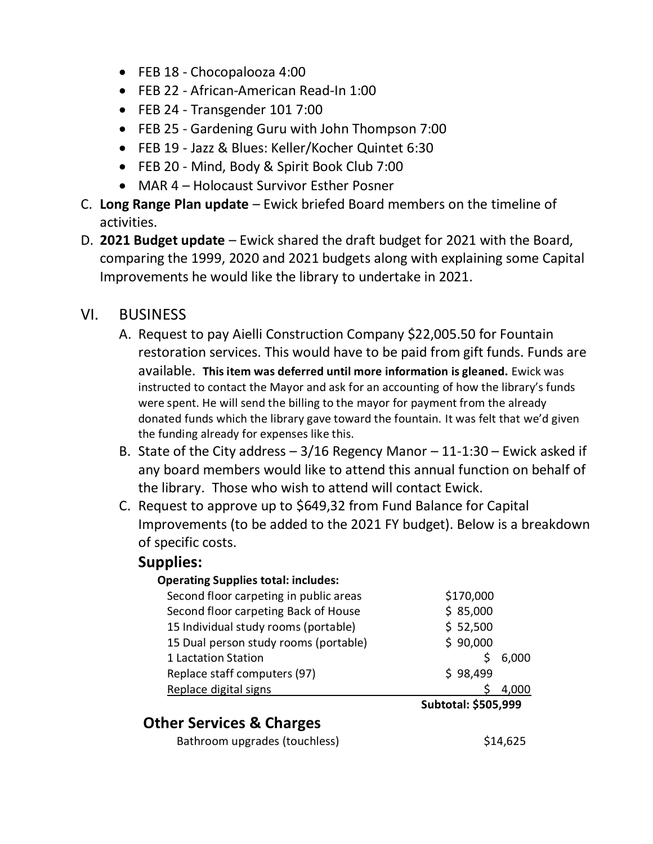- FEB 18 Chocopalooza 4:00
- FEB 22 African-American Read-In 1:00
- FEB 24 Transgender 101 7:00
- FEB 25 Gardening Guru with John Thompson 7:00
- FEB 19 Jazz & Blues: Keller/Kocher Quintet 6:30
- FEB 20 Mind, Body & Spirit Book Club 7:00
- MAR 4 Holocaust Survivor Esther Posner
- C. **Long Range Plan update**  Ewick briefed Board members on the timeline of activities.
- D. **2021 Budget update**  Ewick shared the draft budget for 2021 with the Board, comparing the 1999, 2020 and 2021 budgets along with explaining some Capital Improvements he would like the library to undertake in 2021.

# VI. BUSINESS

- A. Request to pay Aielli Construction Company \$22,005.50 for Fountain restoration services. This would have to be paid from gift funds. Funds are available. **This item was deferred until more information is gleaned.** Ewick was instructed to contact the Mayor and ask for an accounting of how the library's funds were spent. He will send the billing to the mayor for payment from the already donated funds which the library gave toward the fountain. It was felt that we'd given the funding already for expenses like this.
- B. State of the City address  $-3/16$  Regency Manor  $-11-1:30$  Ewick asked if any board members would like to attend this annual function on behalf of the library. Those who wish to attend will contact Ewick.
- C. Request to approve up to \$649,32 from Fund Balance for Capital Improvements (to be added to the 2021 FY budget). Below is a breakdown of specific costs.

### **Supplies:**

### **Operating Supplies total: includes:**

| Second floor carpeting in public areas | \$170,000 |       |
|----------------------------------------|-----------|-------|
| Second floor carpeting Back of House   | \$85,000  |       |
| 15 Individual study rooms (portable)   | \$52,500  |       |
| 15 Dual person study rooms (portable)  | \$90,000  |       |
| 1 Lactation Station                    | S         | 6,000 |
| Replace staff computers (97)           | \$98,499  |       |
| Replace digital signs                  |           |       |
|                                        | .         |       |

 **Subtotal: \$505,999** 

# **Other Services & Charges**

Bathroom upgrades (touchless)  $$14,625$